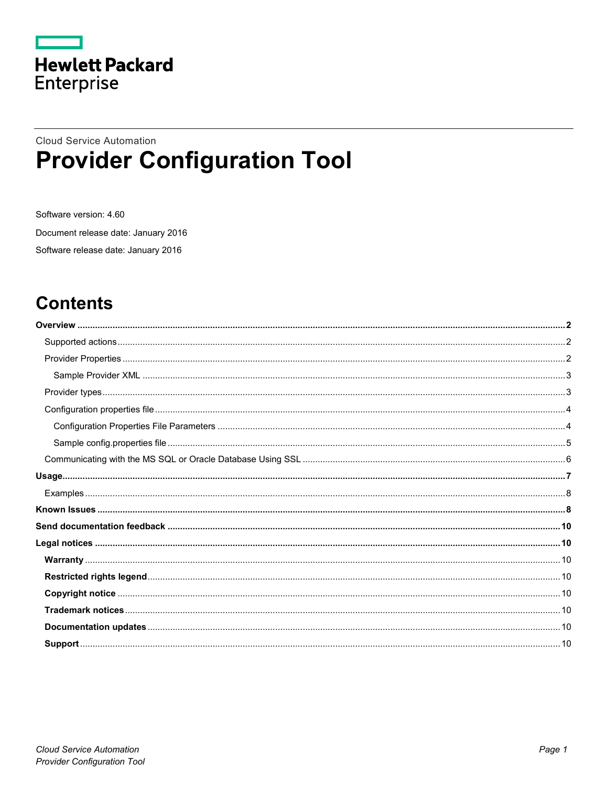

## **Cloud Service Automation Provider Configuration Tool**

Software version: 4.60 Document release date: January 2016 Software release date: January 2016

# **Contents**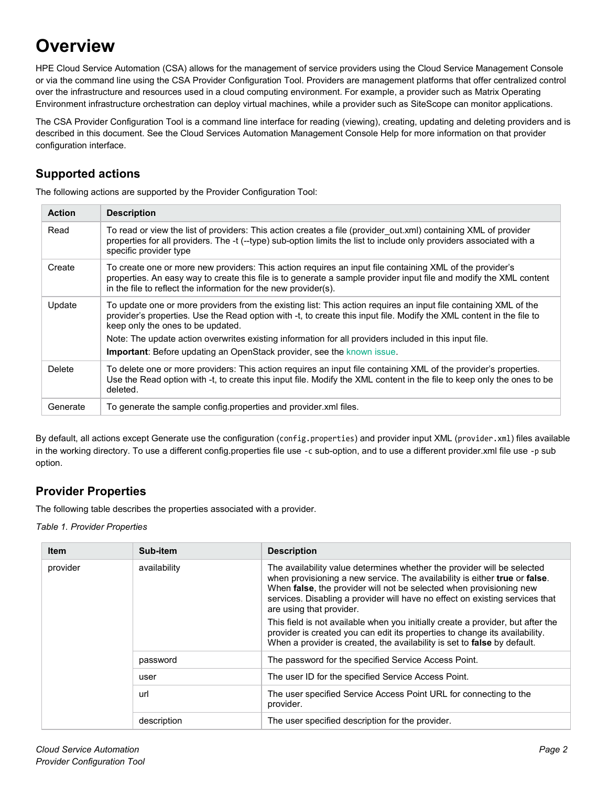# <span id="page-1-0"></span>**Overview**

HPE Cloud Service Automation (CSA) allows for the management of service providers using the Cloud Service Management Console or via the command line using the CSA Provider Configuration Tool. Providers are management platforms that offer centralized control over the infrastructure and resources used in a cloud computing environment. For example, a provider such as Matrix Operating Environment infrastructure orchestration can deploy virtual machines, while a provider such as SiteScope can monitor applications.

The CSA Provider Configuration Tool is a command line interface for reading (viewing), creating, updating and deleting providers and is described in this document. See the Cloud Services Automation Management Console Help for more information on that provider configuration interface.

### <span id="page-1-1"></span>**Supported actions**

The following actions are supported by the Provider Configuration Tool:

| <b>Action</b> | <b>Description</b>                                                                                                                                                                                                                                                                                                                                                                                                                                                       |
|---------------|--------------------------------------------------------------------------------------------------------------------------------------------------------------------------------------------------------------------------------------------------------------------------------------------------------------------------------------------------------------------------------------------------------------------------------------------------------------------------|
| Read          | To read or view the list of providers: This action creates a file (provider out.xml) containing XML of provider<br>properties for all providers. The -t (--type) sub-option limits the list to include only providers associated with a<br>specific provider type                                                                                                                                                                                                        |
| Create        | To create one or more new providers: This action requires an input file containing XML of the provider's<br>properties. An easy way to create this file is to generate a sample provider input file and modify the XML content<br>in the file to reflect the information for the new provider(s).                                                                                                                                                                        |
| Update        | To update one or more providers from the existing list: This action requires an input file containing XML of the<br>provider's properties. Use the Read option with -t, to create this input file. Modify the XML content in the file to<br>keep only the ones to be updated.<br>Note: The update action overwrites existing information for all providers included in this input file.<br><b>Important:</b> Before updating an OpenStack provider, see the known issue. |
| Delete        | To delete one or more providers: This action requires an input file containing XML of the provider's properties.<br>Use the Read option with -t, to create this input file. Modify the XML content in the file to keep only the ones to be<br>deleted.                                                                                                                                                                                                                   |
| Generate      | To generate the sample config properties and provider xml files.                                                                                                                                                                                                                                                                                                                                                                                                         |

By default, all actions except Generate use the configuration (config.properties) and provider input XML (provider.xml) files available in the working directory. To use a different config.properties file use -c sub-option, and to use a different provider.xml file use -p sub option.

### <span id="page-1-2"></span>**Provider Properties**

The following table describes the properties associated with a provider.

*Table 1. Provider Properties*

| <b>Item</b> | Sub-item     | <b>Description</b>                                                                                                                                                                                                                                                                                                                       |
|-------------|--------------|------------------------------------------------------------------------------------------------------------------------------------------------------------------------------------------------------------------------------------------------------------------------------------------------------------------------------------------|
| provider    | availability | The availability value determines whether the provider will be selected<br>when provisioning a new service. The availability is either true or false.<br>When false, the provider will not be selected when provisioning new<br>services. Disabling a provider will have no effect on existing services that<br>are using that provider. |
|             |              | This field is not available when you initially create a provider, but after the<br>provider is created you can edit its properties to change its availability.<br>When a provider is created, the availability is set to false by default.                                                                                               |
|             | password     | The password for the specified Service Access Point.                                                                                                                                                                                                                                                                                     |
|             | user         | The user ID for the specified Service Access Point.                                                                                                                                                                                                                                                                                      |
|             | url          | The user specified Service Access Point URL for connecting to the<br>provider.                                                                                                                                                                                                                                                           |
| description |              | The user specified description for the provider.                                                                                                                                                                                                                                                                                         |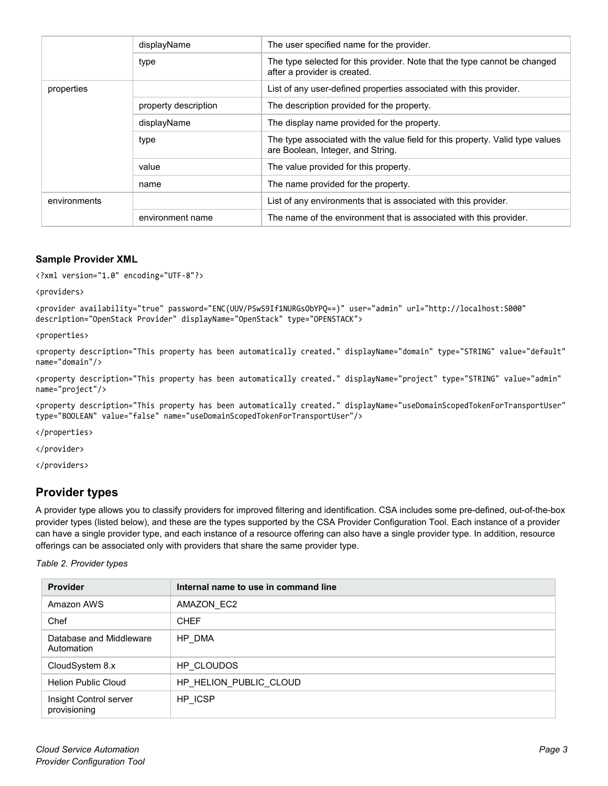|              | displayName          | The user specified name for the provider.                                                                          |
|--------------|----------------------|--------------------------------------------------------------------------------------------------------------------|
|              | type                 | The type selected for this provider. Note that the type cannot be changed<br>after a provider is created.          |
| properties   |                      | List of any user-defined properties associated with this provider.                                                 |
|              | property description | The description provided for the property.                                                                         |
|              | displayName          | The display name provided for the property.                                                                        |
|              | type                 | The type associated with the value field for this property. Valid type values<br>are Boolean, Integer, and String. |
|              | value                | The value provided for this property.                                                                              |
|              | name                 | The name provided for the property.                                                                                |
| environments |                      | List of any environments that is associated with this provider.                                                    |
|              | environment name     | The name of the environment that is associated with this provider.                                                 |

#### <span id="page-2-0"></span>**Sample Provider XML**

<?xml version="1.0" encoding="UTF-8"?>

<providers>

```
<provider availability="true" password="ENC(UUV/PSwS9If1NURGsObYPQ==)" user="admin" url="http://localhost:5000" 
description="OpenStack Provider" displayName="OpenStack" type="OPENSTACK">
```
<properties>

<property description="This property has been automatically created." displayName="domain" type="STRING" value="default" name="domain"/>

<property description="This property has been automatically created." displayName="project" type="STRING" value="admin" name="project"/>

<property description="This property has been automatically created." displayName="useDomainScopedTokenForTransportUser" type="BOOLEAN" value="false" name="useDomainScopedTokenForTransportUser"/>

</properties>

</provider>

</providers>

#### <span id="page-2-1"></span>**Provider types**

A provider type allows you to classify providers for improved filtering and identification. CSA includes some pre-defined, out-of-the-box provider types (listed below), and these are the types supported by the CSA Provider Configuration Tool. Each instance of a provider can have a single provider type, and each instance of a resource offering can also have a single provider type. In addition, resource offerings can be associated only with providers that share the same provider type.

*Table 2. Provider types*

| <b>Provider</b>                        | Internal name to use in command line |
|----------------------------------------|--------------------------------------|
| Amazon AWS                             | AMAZON_EC2                           |
| Chef                                   | <b>CHEF</b>                          |
| Database and Middleware<br>Automation  | HP DMA                               |
| CloudSystem 8.x                        | HP CLOUDOS                           |
| Helion Public Cloud                    | HP HELION PUBLIC CLOUD               |
| Insight Control server<br>provisioning | HP_ICSP                              |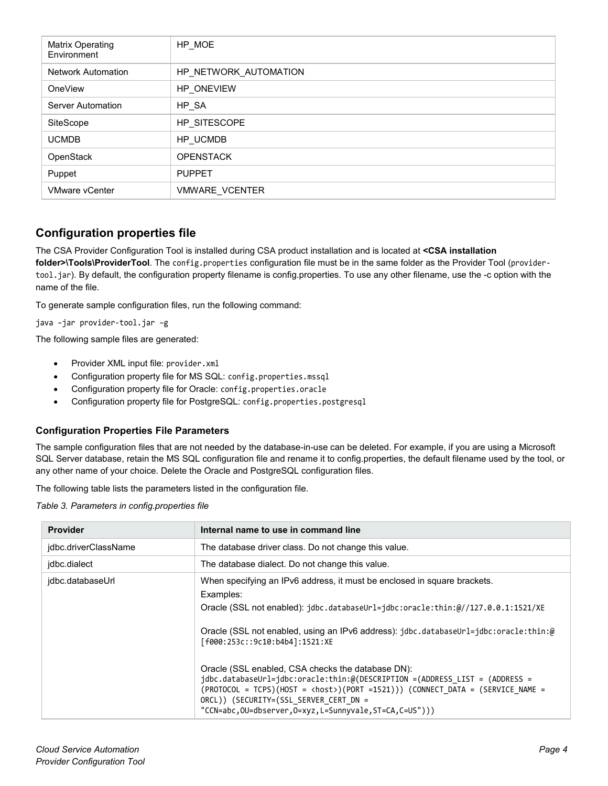| Matrix Operating<br>Environment | HP_MOE                |
|---------------------------------|-----------------------|
| <b>Network Automation</b>       | HP_NETWORK_AUTOMATION |
| OneView                         | HP ONEVIEW            |
| <b>Server Automation</b>        | HP_SA                 |
| SiteScope                       | HP SITESCOPE          |
| <b>UCMDB</b>                    | HP_UCMDB              |
| OpenStack                       | <b>OPENSTACK</b>      |
| Puppet                          | <b>PUPPET</b>         |
| <b>VMware vCenter</b>           | <b>VMWARE VCENTER</b> |

#### <span id="page-3-0"></span>**Configuration properties file**

The CSA Provider Configuration Tool is installed during CSA product installation and is located at **<CSA installation folder>\Tools\ProviderTool**. The config.properties configuration file must be in the same folder as the Provider Tool (providertool.jar). By default, the configuration property filename is config.properties. To use any other filename, use the -c option with the name of the file.

To generate sample configuration files, run the following command:

java –jar provider-tool.jar –g

The following sample files are generated:

- Provider XML input file: provider.xml
- Configuration property file for MS SQL: config.properties.mssql
- Configuration property file for Oracle: config.properties.oracle
- Configuration property file for PostgreSQL: config.properties.postgresql

#### <span id="page-3-1"></span>**Configuration Properties File Parameters**

The sample configuration files that are not needed by the database-in-use can be deleted. For example, if you are using a Microsoft SQL Server database, retain the MS SQL configuration file and rename it to config.properties, the default filename used by the tool, or any other name of your choice. Delete the Oracle and PostgreSQL configuration files.

The following table lists the parameters listed in the configuration file.

*Table 3. Parameters in config.properties file*

| <b>Provider</b>      | Internal name to use in command line                                                                                                                                                                                                                                                                                                                                                                                                                                                                                                                                                                                                                           |  |
|----------------------|----------------------------------------------------------------------------------------------------------------------------------------------------------------------------------------------------------------------------------------------------------------------------------------------------------------------------------------------------------------------------------------------------------------------------------------------------------------------------------------------------------------------------------------------------------------------------------------------------------------------------------------------------------------|--|
| idbc.driverClassName | The database driver class. Do not change this value.                                                                                                                                                                                                                                                                                                                                                                                                                                                                                                                                                                                                           |  |
| idbc.dialect         | The database dialect. Do not change this value.                                                                                                                                                                                                                                                                                                                                                                                                                                                                                                                                                                                                                |  |
| jdbc.databaseUrl     | When specifying an IPv6 address, it must be enclosed in square brackets.<br>Examples:<br>Oracle (SSL not enabled): jdbc.databaseUrl=jdbc:oracle:thin:@//127.0.0.1:1521/XE<br>Oracle (SSL not enabled, using an IPv6 address): jdbc.databaseUrl=jdbc:oracle:thin:@<br>[f000:253c::9c10:b4b4]:1521:XE<br>Oracle (SSL enabled, CSA checks the database DN):<br>$\mathbf{j}$ dbc.databaseUrl= $\mathbf{j}$ dbc:oracle:thin:@(DESCRIPTION =(ADDRESS LIST = (ADDRESS =<br>(PROTOCOL = TCPS)(HOST = <host>)(PORT =1521))) (CONNECT DATA = (SERVICE NAME =<br/>ORCL)) (SECURITY=(SSL SERVER CERT DN =<br/>"CCN=abc,OU=dbserver,O=xyz,L=Sunnyvale,ST=CA,C=US")))</host> |  |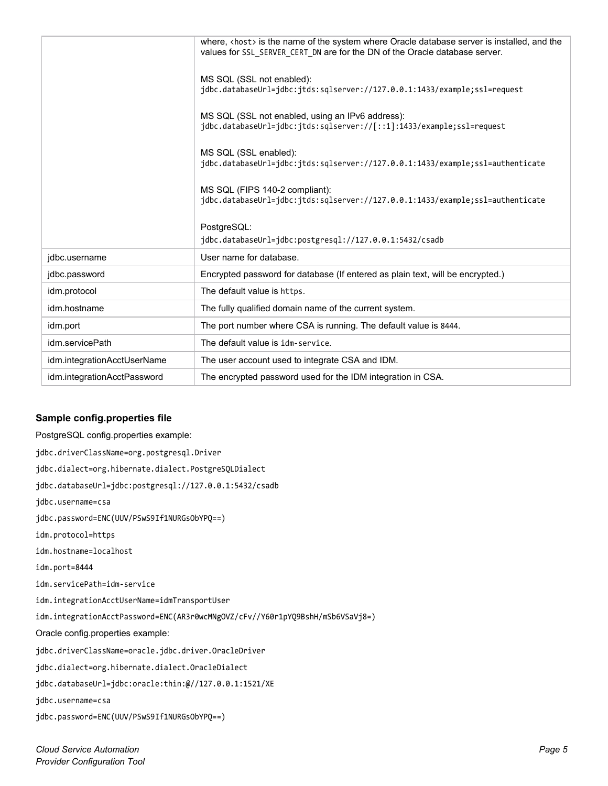|                             | where, $\langle$ host $\rangle$ is the name of the system where Oracle database server is installed, and the<br>values for SSL SERVER CERT DN are for the DN of the Oracle database server. |
|-----------------------------|---------------------------------------------------------------------------------------------------------------------------------------------------------------------------------------------|
|                             | MS SQL (SSL not enabled):<br>jdbc.databaseUrl=jdbc:jtds:sqlserver://127.0.0.1:1433/example;ssl=request                                                                                      |
|                             | MS SQL (SSL not enabled, using an IPv6 address):<br>jdbc.databaseUrl=jdbc:jtds:sqlserver://[::1]:1433/example;ssl=request                                                                   |
|                             | MS SQL (SSL enabled):<br>jdbc.databaseUrl=jdbc:jtds:sqlserver://127.0.0.1:1433/example;ssl=authenticate                                                                                     |
|                             | MS SQL (FIPS 140-2 compliant):<br>jdbc.databaseUrl=jdbc:jtds:sqlserver://127.0.0.1:1433/example;ssl=authenticate                                                                            |
|                             | PostgreSQL:<br>jdbc.databaseUrl=jdbc:postgresql://127.0.0.1:5432/csadb                                                                                                                      |
| jdbc.username               | User name for database.                                                                                                                                                                     |
| jdbc.password               | Encrypted password for database (If entered as plain text, will be encrypted.)                                                                                                              |
| idm.protocol                | The default value is https.                                                                                                                                                                 |
| idm.hostname                | The fully qualified domain name of the current system.                                                                                                                                      |
| idm.port                    | The port number where CSA is running. The default value is 8444.                                                                                                                            |
| idm.servicePath             | The default value is idm-service.                                                                                                                                                           |
| idm.integrationAcctUserName | The user account used to integrate CSA and IDM.                                                                                                                                             |
| idm.integrationAcctPassword | The encrypted password used for the IDM integration in CSA.                                                                                                                                 |

#### <span id="page-4-0"></span>**Sample config.properties file**

PostgreSQL config.properties example: jdbc.driverClassName=org.postgresql.Driver jdbc.dialect=org.hibernate.dialect.PostgreSQLDialect jdbc.databaseUrl=jdbc:postgresql://127.0.0.1:5432/csadb jdbc.username=csa jdbc.password=ENC(UUV/PSwS9If1NURGsObYPQ==) idm.protocol=https idm.hostname=localhost idm.port=8444 idm.servicePath=idm-service idm.integrationAcctUserName=idmTransportUser idm.integrationAcctPassword=ENC(AR3r0wcMNgOVZ/cFv//Y60r1pYQ9BshH/mSb6VSaVj8=) Oracle config.properties example: jdbc.driverClassName=oracle.jdbc.driver.OracleDriver jdbc.dialect=org.hibernate.dialect.OracleDialect jdbc.databaseUrl=jdbc:oracle:thin:@//127.0.0.1:1521/XE jdbc.username=csa jdbc.password=ENC(UUV/PSwS9If1NURGsObYPQ==)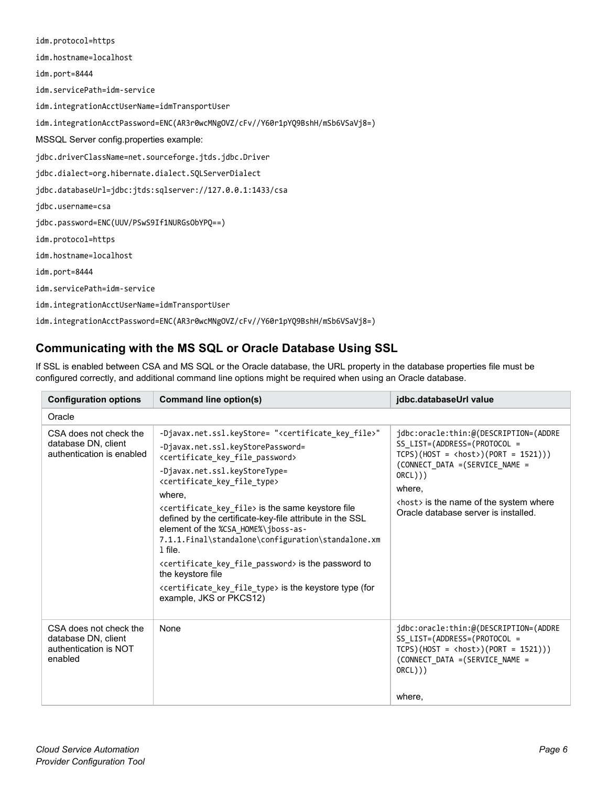| idm.protocol=https                                                            |
|-------------------------------------------------------------------------------|
| idm.hostname=localhost                                                        |
| idm.port=8444                                                                 |
| idm.servicePath=idm-service                                                   |
| idm.integrationAcctUserName=idmTransportUser                                  |
| idm.integrationAcctPassword=ENC(AR3r0wcMNgOVZ/cFv//Y60r1pYQ9BshH/mSb6VSaVj8=) |
| MSSQL Server config.properties example:                                       |
| jdbc.driverClassName=net.sourceforge.jtds.jdbc.Driver                         |
| jdbc.dialect=org.hibernate.dialect.SQLServerDialect                           |
| jdbc.databaseUrl=jdbc:jtds:sqlserver://127.0.0.1:1433/csa                     |
| jdbc.username=csa                                                             |
| jdbc.password=ENC(UUV/PSwS9If1NURGsObYPQ==)                                   |
| idm.protocol=https                                                            |
| idm.hostname=localhost                                                        |
| idm.port=8444                                                                 |
| idm.servicePath=idm-service                                                   |
| idm.integrationAcctUserName=idmTransportUser                                  |
| idm.integrationAcctPassword=ENC(AR3r0wcMNgOVZ/cFv//Y60r1pYQ9BshH/mSb6VSaVj8=) |

### <span id="page-5-0"></span>**Communicating with the MS SQL or Oracle Database Using SSL**

If SSL is enabled between CSA and MS SQL or the Oracle database, the URL property in the database properties file must be configured correctly, and additional command line options might be required when using an Oracle database.

| <b>Configuration options</b>                                                      | Command line option(s)                                                                                                                                                                                                                                                                                                                                                                                                                                                                                                                                                                                                                                                                                                                                          | jdbc.databaseUrl value                                                                                                                                                                                                                                                |
|-----------------------------------------------------------------------------------|-----------------------------------------------------------------------------------------------------------------------------------------------------------------------------------------------------------------------------------------------------------------------------------------------------------------------------------------------------------------------------------------------------------------------------------------------------------------------------------------------------------------------------------------------------------------------------------------------------------------------------------------------------------------------------------------------------------------------------------------------------------------|-----------------------------------------------------------------------------------------------------------------------------------------------------------------------------------------------------------------------------------------------------------------------|
| Oracle                                                                            |                                                                                                                                                                                                                                                                                                                                                                                                                                                                                                                                                                                                                                                                                                                                                                 |                                                                                                                                                                                                                                                                       |
| CSA does not check the<br>database DN, client<br>authentication is enabled        | -Djavax.net.ssl.keyStore= " <certificate_key_file>"<br/>-Djavax.net.ssl.keyStorePassword=<br/><certificate file="" key="" password=""><br/>-Djavax.net.ssl.keyStoreType=<br/><certificate_key_file_type><br/>where,<br/><certificate_key_file> is the same keystore file<br/>defined by the certificate-key-file attribute in the SSL<br/>element of the %CSA_HOME%\jboss-as-<br/>7.1.1. Final\standalone\configuration\standalone.xm<br/>1 file.<br/><certificate file="" key="" password=""> is the password to<br/>the keystore file<br/><certificate_key_file_type> is the keystore type (for<br/>example, JKS or PKCS12)</certificate_key_file_type></certificate></certificate_key_file></certificate_key_file_type></certificate></certificate_key_file> | jdbc:oracle:thin:@(DESCRIPTION=(ADDRE<br>SS LIST=(ADDRESS=(PROTOCOL =<br>$TCPS)( + OST = <>host$ )( $PORT = 1521$ ))<br>(CONNECT DATA = (SERVICE NAME =<br>ORCL))<br>where,<br><host> is the name of the system where<br/>Oracle database server is installed.</host> |
| CSA does not check the<br>database DN, client<br>authentication is NOT<br>enabled | None                                                                                                                                                                                                                                                                                                                                                                                                                                                                                                                                                                                                                                                                                                                                                            | jdbc:oracle:thin:@(DESCRIPTION=(ADDRE<br>SS_LIST=(ADDRESS=(PROTOCOL =<br>$TCPS)( + 0ST = <>{host}>(PORT = 1521)))$<br>(CONNECT DATA = (SERVICE NAME =<br>ORCL))<br>where,                                                                                             |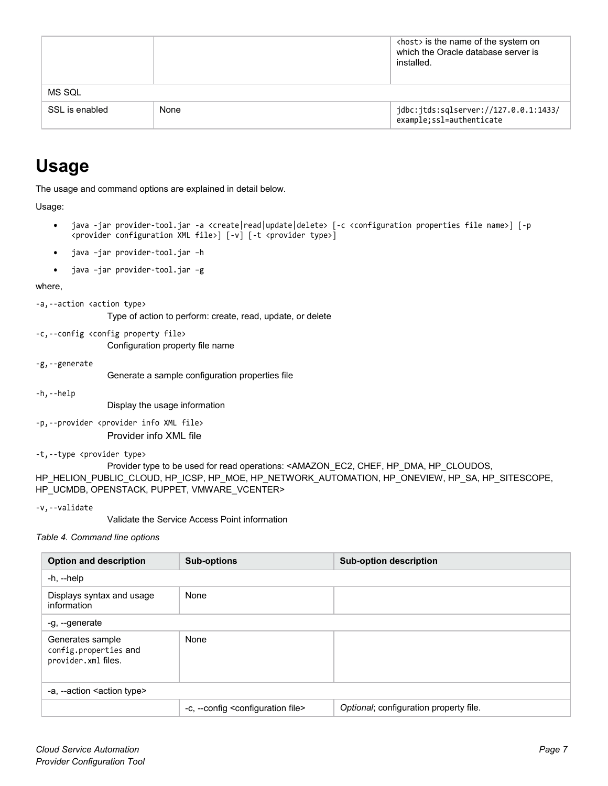|                |      | <host> is the name of the system on<br/>which the Oracle database server is<br/>installed.</host> |
|----------------|------|---------------------------------------------------------------------------------------------------|
| MS SQL         |      |                                                                                                   |
| SSL is enabled | None | jdbc:jtds:sqlserver://127.0.0.1:1433/<br>example;ssl=authenticate                                 |

# <span id="page-6-0"></span>**Usage**

The usage and command options are explained in detail below.

Usage:

- java -jar provider-tool.jar -a <create|read|update|delete> [-c <configuration properties file name>] [-p <provider configuration XML file>] [-v] [-t <provider type>]
- java –jar provider-tool.jar –h
- java –jar provider-tool.jar –g

where,

```
-a,--action <action type>
```
Type of action to perform: create, read, update, or delete

-c,--config <config property file> Configuration property file name

-g,--generate

Generate a sample configuration properties file

-h,--help

Display the usage information

-p,--provider <provider info XML file> Provider info XML file

-t,--type <provider type>

Provider type to be used for read operations: <AMAZON\_EC2, CHEF, HP\_DMA, HP\_CLOUDOS, HP\_HELION\_PUBLIC\_CLOUD, HP\_ICSP, HP\_MOE, HP\_NETWORK\_AUTOMATION, HP\_ONEVIEW, HP\_SA, HP\_SITESCOPE, HP\_UCMDB, OPENSTACK, PUPPET, VMWARE\_VCENTER>

-v,--validate

Validate the Service Access Point information

*Table 4. Command line options*

| <b>Option and description</b>                                    | <b>Sub-options</b>                                   | <b>Sub-option description</b>          |  |
|------------------------------------------------------------------|------------------------------------------------------|----------------------------------------|--|
| -h, --help                                                       |                                                      |                                        |  |
| Displays syntax and usage<br>information                         | None                                                 |                                        |  |
| -g, --generate                                                   |                                                      |                                        |  |
| Generates sample<br>config.properties and<br>provider.xml files. | None                                                 |                                        |  |
| -a, --action < action type>                                      |                                                      |                                        |  |
|                                                                  | -c, --config <configuration file=""></configuration> | Optional; configuration property file. |  |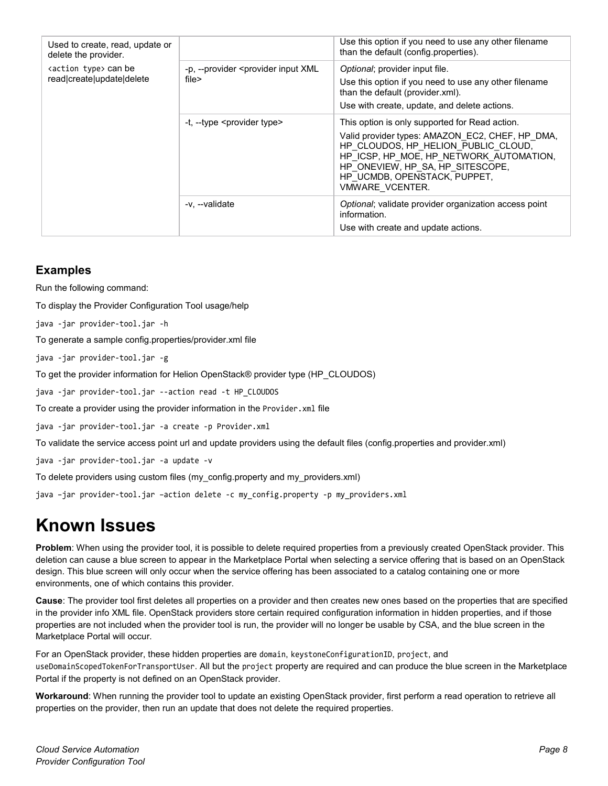| Used to create, read, update or<br>delete the provider.<br><action type=""> can be<br/>read create update delete</action> |                                                                 | Use this option if you need to use any other filename<br>than the default (config.properties).                                                                                                                                                                             |
|---------------------------------------------------------------------------------------------------------------------------|-----------------------------------------------------------------|----------------------------------------------------------------------------------------------------------------------------------------------------------------------------------------------------------------------------------------------------------------------------|
|                                                                                                                           | -p, --provider <provider input="" xml<br="">file&gt;</provider> | Optional; provider input file.<br>Use this option if you need to use any other filename<br>than the default (provider.xml).<br>Use with create, update, and delete actions.                                                                                                |
|                                                                                                                           | -t, --type <provider type=""></provider>                        | This option is only supported for Read action.<br>Valid provider types: AMAZON_EC2, CHEF, HP_DMA,<br>HP CLOUDOS, HP HELION PUBLIC CLOUD,<br>HP ICSP, HP MOE, HP NETWORK AUTOMATION,<br>HP ONEVIEW, HP SA, HP SITESCOPE,<br>HP UCMDB, OPENSTACK, PUPPET,<br>VMWARE VCENTER. |
|                                                                                                                           | -v. --validate                                                  | Optional; validate provider organization access point<br>information.<br>Use with create and update actions.                                                                                                                                                               |

#### <span id="page-7-0"></span>**Examples**

Run the following command:

To display the Provider Configuration Tool usage/help

java -jar provider-tool.jar -h

To generate a sample config.properties/provider.xml file

java -jar provider-tool.jar -g

To get the provider information for Helion OpenStack® provider type (HP\_CLOUDOS)

java -jar provider-tool.jar --action read -t HP\_CLOUDOS

To create a provider using the provider information in the Provider.xml file

java -jar provider-tool.jar -a create -p Provider.xml

To validate the service access point url and update providers using the default files (config.properties and provider.xml)

java -jar provider-tool.jar -a update -v

To delete providers using custom files (my\_config.property and my\_providers.xml)

java –jar provider-tool.jar –action delete -c my\_config.property -p my\_providers.xml

## <span id="page-7-1"></span>**Known Issues**

**Problem**: When using the provider tool, it is possible to delete required properties from a previously created OpenStack provider. This deletion can cause a blue screen to appear in the Marketplace Portal when selecting a service offering that is based on an OpenStack design. This blue screen will only occur when the service offering has been associated to a catalog containing one or more environments, one of which contains this provider.

**Cause**: The provider tool first deletes all properties on a provider and then creates new ones based on the properties that are specified in the provider info XML file. OpenStack providers store certain required configuration information in hidden properties, and if those properties are not included when the provider tool is run, the provider will no longer be usable by CSA, and the blue screen in the Marketplace Portal will occur.

For an OpenStack provider, these hidden properties are domain, keystoneConfigurationID, project, and useDomainScopedTokenForTransportUser. All but the project property are required and can produce the blue screen in the Marketplace Portal if the property is not defined on an OpenStack provider.

**Workaround**: When running the provider tool to update an existing OpenStack provider, first perform a read operation to retrieve all properties on the provider, then run an update that does not delete the required properties.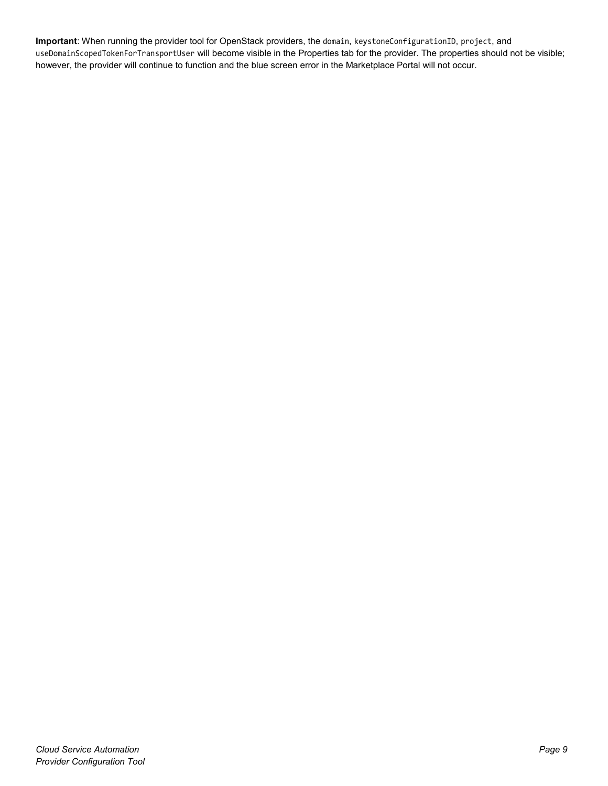**Important**: When running the provider tool for OpenStack providers, the domain, keystoneConfigurationID, project, and useDomainScopedTokenForTransportUser will become visible in the Properties tab for the provider. The properties should not be visible; however, the provider will continue to function and the blue screen error in the Marketplace Portal will not occur.